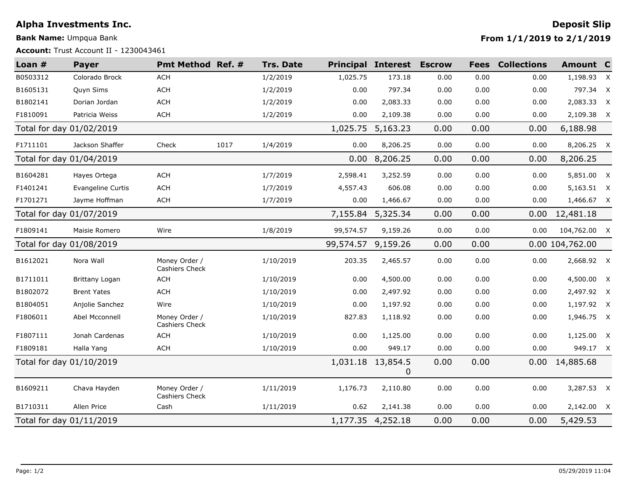## **Alpha Investments Inc. Deposit Slip**

**Bank Name:** Umpqua Bank

**Account:** Trust Account II - 1230043461

**From 1/1/2019 to 2/1/2019**

| Loan $#$                 | <b>Payer</b>       | Pmt Method Ref. #               |      | <b>Trs. Date</b> |                        | <b>Principal Interest Escrow</b> |      | <b>Fees</b> | <b>Collections</b> | Amount C     |  |
|--------------------------|--------------------|---------------------------------|------|------------------|------------------------|----------------------------------|------|-------------|--------------------|--------------|--|
| B0503312                 | Colorado Brock     | ACH                             |      | 1/2/2019         | 1,025.75               | 173.18                           | 0.00 | 0.00        | 0.00               | 1,198.93 X   |  |
| B1605131                 | Quyn Sims          | ACH                             |      | 1/2/2019         | 0.00                   | 797.34                           | 0.00 | 0.00        | 0.00               | 797.34 X     |  |
| B1802141                 | Dorian Jordan      | <b>ACH</b>                      |      | 1/2/2019         | 0.00                   | 2,083.33                         | 0.00 | 0.00        | 0.00               | 2,083.33 X   |  |
| F1810091                 | Patricia Weiss     | ACH                             |      | 1/2/2019         | 0.00                   | 2,109.38                         | 0.00 | 0.00        | 0.00               | 2,109.38 X   |  |
| Total for day 01/02/2019 |                    |                                 |      | 1,025.75         | 5,163.23               | 0.00                             | 0.00 | 0.00        | 6,188.98           |              |  |
| F1711101                 | Jackson Shaffer    | Check                           | 1017 | 1/4/2019         | 0.00                   | 8,206.25                         | 0.00 | 0.00        | 0.00               | 8,206.25 X   |  |
| Total for day 01/04/2019 |                    |                                 |      | 0.00             | 8,206.25               | 0.00                             | 0.00 | 0.00        | 8,206.25           |              |  |
| B1604281                 | Hayes Ortega       | <b>ACH</b>                      |      | 1/7/2019         | 2,598.41               | 3,252.59                         | 0.00 | 0.00        | 0.00               | 5,851.00 X   |  |
| F1401241                 | Evangeline Curtis  | <b>ACH</b>                      |      | 1/7/2019         | 4,557.43               | 606.08                           | 0.00 | 0.00        | 0.00               | 5,163.51 X   |  |
| F1701271                 | Jayme Hoffman      | ACH                             |      | 1/7/2019         | 0.00                   | 1,466.67                         | 0.00 | 0.00        | 0.00               | 1,466.67 X   |  |
| Total for day 01/07/2019 |                    |                                 |      |                  | 7,155.84               | 5,325.34                         | 0.00 | 0.00        | 0.00               | 12,481.18    |  |
| F1809141                 | Maisie Romero      | Wire                            |      | 1/8/2019         | 99,574.57              | 9,159.26                         | 0.00 | 0.00        | 0.00               | 104,762.00 X |  |
| Total for day 01/08/2019 |                    |                                 |      | 99,574.57        | 9,159.26               | 0.00                             | 0.00 |             | 0.00 104,762.00    |              |  |
| B1612021                 | Nora Wall          | Money Order /<br>Cashiers Check |      | 1/10/2019        | 203.35                 | 2,465.57                         | 0.00 | 0.00        | 0.00               | 2,668.92 X   |  |
| B1711011                 | Brittany Logan     | <b>ACH</b>                      |      | 1/10/2019        | 0.00                   | 4,500.00                         | 0.00 | 0.00        | 0.00               | 4,500.00 X   |  |
| B1802072                 | <b>Brent Yates</b> | ACH                             |      | 1/10/2019        | 0.00                   | 2,497.92                         | 0.00 | 0.00        | 0.00               | 2,497.92 X   |  |
| B1804051                 | Anjolie Sanchez    | Wire                            |      | 1/10/2019        | 0.00                   | 1,197.92                         | 0.00 | 0.00        | 0.00               | 1,197.92 X   |  |
| F1806011                 | Abel Mcconnell     | Money Order /<br>Cashiers Check |      | 1/10/2019        | 827.83                 | 1,118.92                         | 0.00 | 0.00        | 0.00               | 1,946.75 X   |  |
| F1807111                 | Jonah Cardenas     | <b>ACH</b>                      |      | 1/10/2019        | 0.00                   | 1,125.00                         | 0.00 | 0.00        | 0.00               | 1,125.00 X   |  |
| F1809181                 | Halla Yang         | ACH                             |      | 1/10/2019        | 0.00                   | 949.17                           | 0.00 | 0.00        | 0.00               | 949.17 X     |  |
| Total for day 01/10/2019 |                    |                                 |      |                  | 1,031.18 13,854.5<br>0 | 0.00                             | 0.00 | 0.00        | 14,885.68          |              |  |
| B1609211                 | Chava Hayden       | Money Order /<br>Cashiers Check |      | 1/11/2019        | 1,176.73               | 2,110.80                         | 0.00 | 0.00        | 0.00               | 3,287.53 X   |  |
| B1710311                 | Allen Price        | Cash                            |      | 1/11/2019        | 0.62                   | 2,141.38                         | 0.00 | 0.00        | 0.00               | 2,142.00 X   |  |
| Total for day 01/11/2019 |                    |                                 |      |                  |                        | 1,177.35 4,252.18                | 0.00 | 0.00        | 0.00               | 5,429.53     |  |